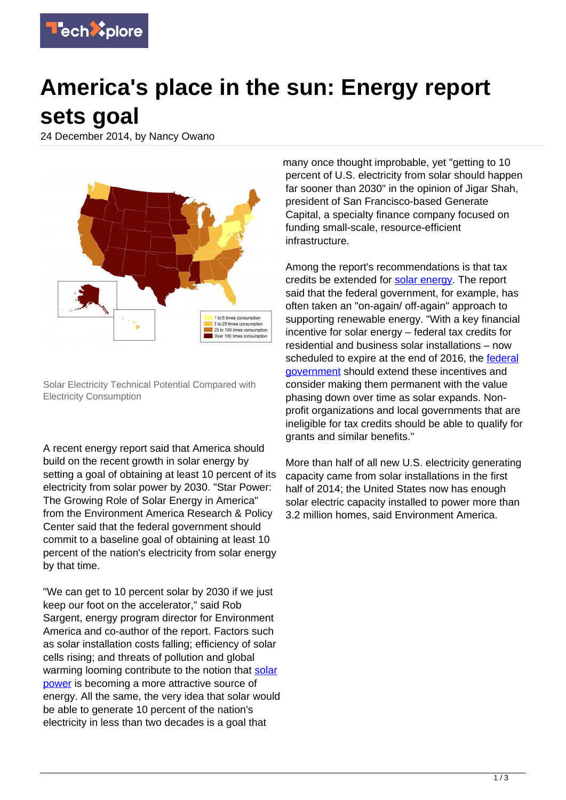

## **America's place in the sun: Energy report sets goal**

24 December 2014, by Nancy Owano



Solar Electricity Technical Potential Compared with Electricity Consumption

A recent energy report said that America should build on the recent growth in solar energy by setting a goal of obtaining at least 10 percent of its electricity from solar power by 2030. "Star Power: The Growing Role of Solar Energy in America" from the Environment America Research & Policy Center said that the federal government should commit to a baseline goal of obtaining at least 10 percent of the nation's electricity from solar energy by that time.

"We can get to 10 percent solar by 2030 if we just keep our foot on the accelerator," said Rob Sargent, energy program director for Environment America and co-author of the report. Factors such as solar installation costs falling; efficiency of solar cells rising; and threats of pollution and global warming looming contribute to the notion that [solar](https://techxplore.com/tags/solar+power/) [power](https://techxplore.com/tags/solar+power/) is becoming a more attractive source of energy. All the same, the very idea that solar would be able to generate 10 percent of the nation's electricity in less than two decades is a goal that

many once thought improbable, yet "getting to 10 percent of U.S. electricity from solar should happen far sooner than 2030" in the opinion of Jigar Shah, president of San Francisco-based Generate Capital, a specialty finance company focused on funding small-scale, resource-efficient infrastructure.

Among the report's recommendations is that tax credits be extended for [solar energy.](https://techxplore.com/tags/solar+energy/) The report said that the federal government, for example, has often taken an "on-again/ off-again" approach to supporting renewable energy. "With a key financial incentive for solar energy – federal tax credits for residential and business solar installations – now scheduled to expire at the end of 2016, the [federal](https://techxplore.com/tags/federal+government/) [government](https://techxplore.com/tags/federal+government/) should extend these incentives and consider making them permanent with the value phasing down over time as solar expands. Nonprofit organizations and local governments that are ineligible for tax credits should be able to qualify for grants and similar benefits."

More than half of all new U.S. electricity generating capacity came from solar installations in the first half of 2014; the United States now has enough solar electric capacity installed to power more than 3.2 million homes, said Environment America.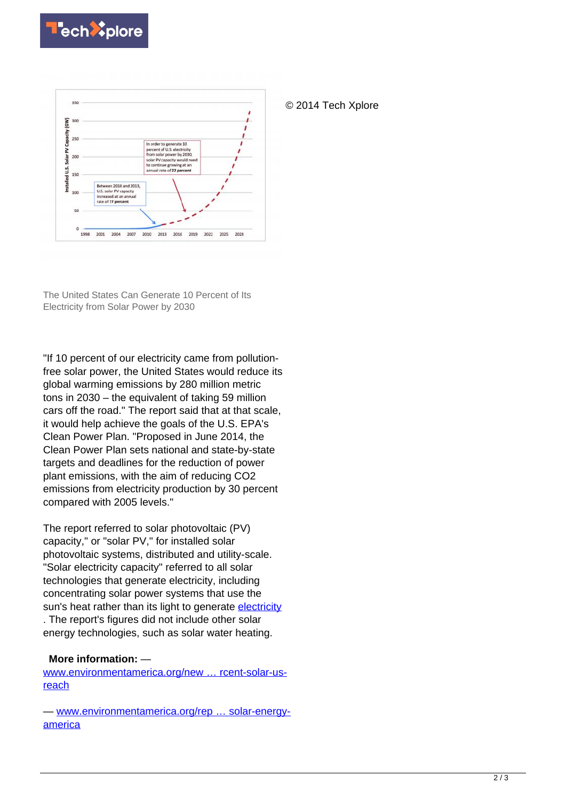



© 2014 Tech Xplore

The United States Can Generate 10 Percent of Its Electricity from Solar Power by 2030

"If 10 percent of our electricity came from pollutionfree solar power, the United States would reduce its global warming emissions by 280 million metric tons in 2030 – the equivalent of taking 59 million cars off the road." The report said that at that scale, it would help achieve the goals of the U.S. EPA's Clean Power Plan. "Proposed in June 2014, the Clean Power Plan sets national and state-by-state targets and deadlines for the reduction of power plant emissions, with the aim of reducing CO2 emissions from electricity production by 30 percent compared with 2005 levels."

The report referred to solar photovoltaic (PV) capacity," or "solar PV," for installed solar photovoltaic systems, distributed and utility-scale. "Solar electricity capacity" referred to all solar technologies that generate electricity, including concentrating solar power systems that use the sun's heat rather than its light to generate [electricity](https://techxplore.com/tags/electricity/) . The report's figures did not include other solar energy technologies, such as solar water heating.

## **More information:** —

[www.environmentamerica.org/new … rcent-solar-us](http://www.environmentamerica.org/news/ame/report-10-percent-solar-us-reach)[reach](http://www.environmentamerica.org/news/ame/report-10-percent-solar-us-reach)

— [www.environmentamerica.org/rep … solar-energy](http://www.environmentamerica.org/reports/ame/star-power-growing-role-solar-energy-america)[america](http://www.environmentamerica.org/reports/ame/star-power-growing-role-solar-energy-america)